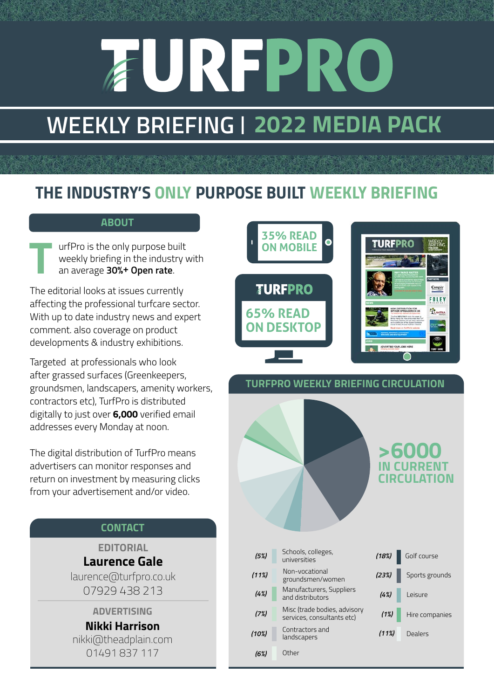# **AUREPRO**

## **WEEKLY BRIEFING | 2022 MEDIA PACK**

### *THE INDUSTRY'S ONLY PURPOSE BUILT WEEKLY BRIEFING*

#### **ABOUT**

urfPro is the only purpose built weekly briefing in the industry with an average **30%+ Open rate**. **T**

The editorial looks at issues currently affecting the professional turfcare sector. With up to date industry news and expert comment. also coverage on product developments & industry exhibitions.

Targeted at professionals who look after grassed surfaces (Greenkeepers, groundsmen, landscapers, amenity workers, contractors etc), TurfPro is distributed digitally to just over **6,000** verified email addresses every Monday at noon.

The digital distribution of TurfPro means advertisers can monitor responses and return on investment by measuring clicks from your advertisement and/or video.

#### **CONTACT**

**EDITORIAL Laurence Gale**

laurence@turfpro.co.uk 07929 438 213

#### **ADVERTISING**

**Nikki Harrison** nikki@theadplain.com 01491 837 117



#### **TURFPRO WEEKLY BRIEFING CIRCULATION**

*(4%) (7%) (6%) (5%) (11%) (10%)*  Contractors and landscapers Schools, colleges, universities Manufacturers, Suppliers and distributors Misc (trade bodies, advisory services, consultants etc) **Other** Non-vocational groundsmen/women



**>6000 IN CURRENT CIRCULATION**